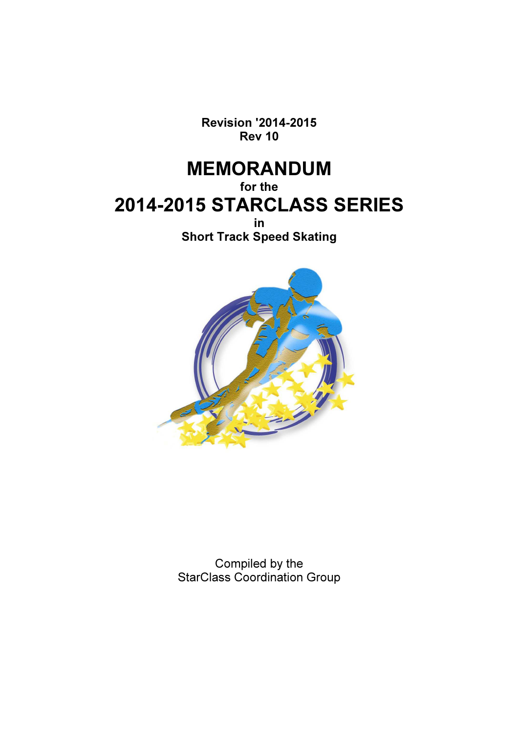Revision '2014-2015 Rev 10

# MEMORANDUM

for the 2014-2015 STARCLASS SERIES

> in Short Track Speed Skating



Compiled by the StarClass Coordination Group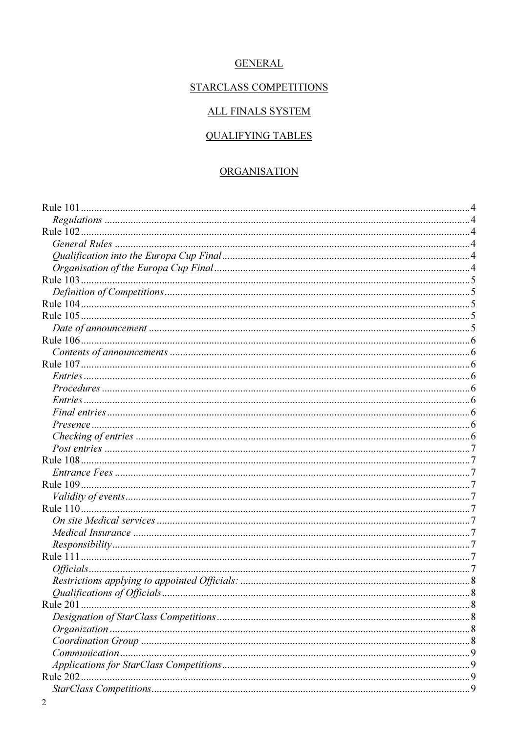# **GENERAL**

# STARCLASS COMPETITIONS

# **ALL FINALS SYSTEM**

# **QUALIFYING TABLES**

# **ORGANISATION**

| $Common!$ $^{(1)}$ |  |
|--------------------|--|
|                    |  |
| Rule 202           |  |
|                    |  |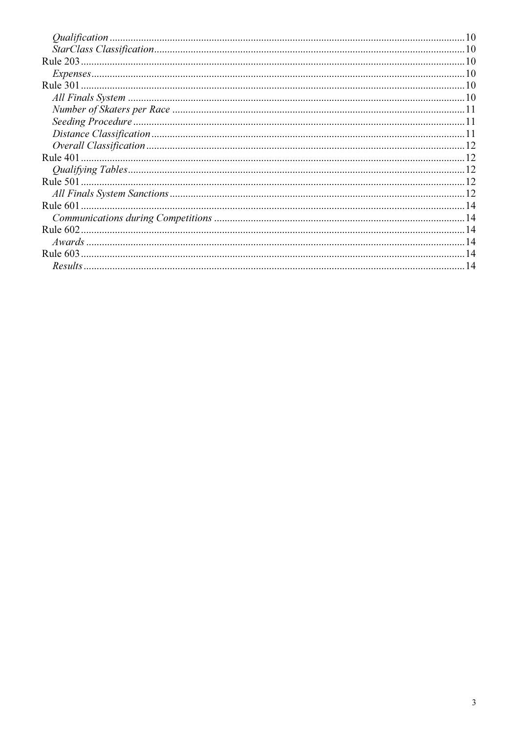| $Expenses10$ |  |
|--------------|--|
|              |  |
|              |  |
|              |  |
|              |  |
|              |  |
|              |  |
|              |  |
|              |  |
|              |  |
|              |  |
|              |  |
|              |  |
|              |  |
|              |  |
|              |  |
|              |  |
|              |  |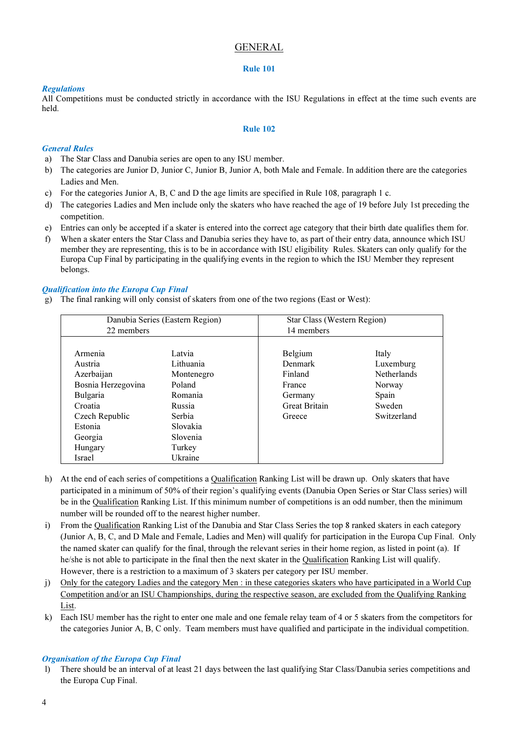# GENERAL

#### Rule 101

# Regulations

All Competitions must be conducted strictly in accordance with the ISU Regulations in effect at the time such events are held.

# Rule 102

# General Rules

- a) The Star Class and Danubia series are open to any ISU member.
- b) The categories are Junior D, Junior C, Junior B, Junior A, both Male and Female. In addition there are the categories Ladies and Men.
- c) For the categories Junior A, B, C and D the age limits are specified in Rule 108, paragraph 1 c.
- d) The categories Ladies and Men include only the skaters who have reached the age of 19 before July 1st preceding the competition.
- e) Entries can only be accepted if a skater is entered into the correct age category that their birth date qualifies them for.
- f) When a skater enters the Star Class and Danubia series they have to, as part of their entry data, announce which ISU member they are representing, this is to be in accordance with ISU eligibility Rules. Skaters can only qualify for the Europa Cup Final by participating in the qualifying events in the region to which the ISU Member they represent belongs.

# Qualification into the Europa Cup Final

g) The final ranking will only consist of skaters from one of the two regions (East or West):

| 22 members                                                                                                                                               | Danubia Series (Eastern Region)                                                                                         | Star Class (Western Region)<br>14 members                                            |                                                                               |  |
|----------------------------------------------------------------------------------------------------------------------------------------------------------|-------------------------------------------------------------------------------------------------------------------------|--------------------------------------------------------------------------------------|-------------------------------------------------------------------------------|--|
| Armenia<br>Austria<br>Azerbaijan<br>Bosnia Herzegovina<br><b>Bulgaria</b><br>Croatia<br>Czech Republic<br>Estonia<br>Georgia<br>Hungary<br><b>Israel</b> | Latvia<br>Lithuania<br>Montenegro<br>Poland<br>Romania<br>Russia<br>Serbia<br>Slovakia<br>Slovenia<br>Turkey<br>Ukraine | Belgium<br>Denmark<br>Finland<br>France<br>Germany<br><b>Great Britain</b><br>Greece | Italy<br>Luxemburg<br>Netherlands<br>Norway<br>Spain<br>Sweden<br>Switzerland |  |

- h) At the end of each series of competitions a Qualification Ranking List will be drawn up. Only skaters that have participated in a minimum of 50% of their region's qualifying events (Danubia Open Series or Star Class series) will be in the Qualification Ranking List. If this minimum number of competitions is an odd number, then the minimum number will be rounded off to the nearest higher number.
- i) From the Qualification Ranking List of the Danubia and Star Class Series the top 8 ranked skaters in each category (Junior A, B, C, and D Male and Female, Ladies and Men) will qualify for participation in the Europa Cup Final. Only the named skater can qualify for the final, through the relevant series in their home region, as listed in point (a). If he/she is not able to participate in the final then the next skater in the Qualification Ranking List will qualify. However, there is a restriction to a maximum of 3 skaters per category per ISU member.
- j) Only for the category Ladies and the category Men : in these categories skaters who have participated in a World Cup Competition and/or an ISU Championships, during the respective season, are excluded from the Qualifying Ranking List.
- k) Each ISU member has the right to enter one male and one female relay team of 4 or 5 skaters from the competitors for the categories Junior A, B, C only. Team members must have qualified and participate in the individual competition.

# Organisation of the Europa Cup Final

l) There should be an interval of at least 21 days between the last qualifying Star Class/Danubia series competitions and the Europa Cup Final.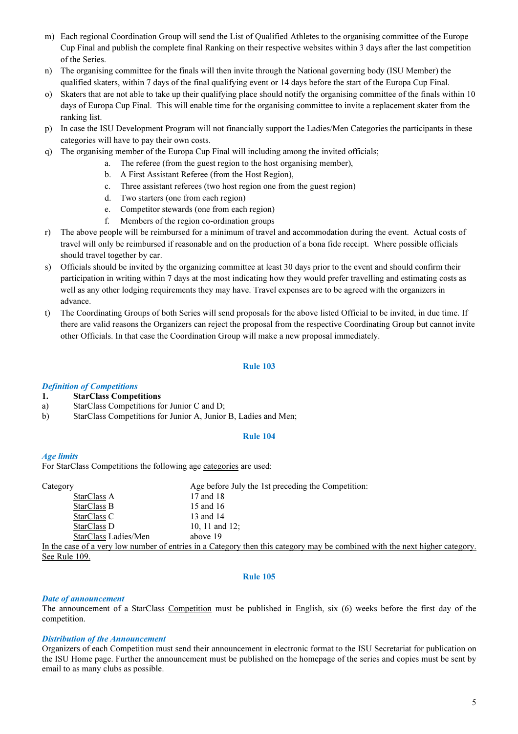- m) Each regional Coordination Group will send the List of Qualified Athletes to the organising committee of the Europe Cup Final and publish the complete final Ranking on their respective websites within 3 days after the last competition of the Series.
- n) The organising committee for the finals will then invite through the National governing body (ISU Member) the qualified skaters, within 7 days of the final qualifying event or 14 days before the start of the Europa Cup Final.
- o) Skaters that are not able to take up their qualifying place should notify the organising committee of the finals within 10 days of Europa Cup Final. This will enable time for the organising committee to invite a replacement skater from the ranking list.
- p) In case the ISU Development Program will not financially support the Ladies/Men Categories the participants in these categories will have to pay their own costs.
- q) The organising member of the Europa Cup Final will including among the invited officials;
	- a. The referee (from the guest region to the host organising member),
		- b. A First Assistant Referee (from the Host Region),
		- c. Three assistant referees (two host region one from the guest region)
		- d. Two starters (one from each region)
		- e. Competitor stewards (one from each region)
		- f. Members of the region co-ordination groups
- r) The above people will be reimbursed for a minimum of travel and accommodation during the event. Actual costs of travel will only be reimbursed if reasonable and on the production of a bona fide receipt. Where possible officials should travel together by car.
- s) Officials should be invited by the organizing committee at least 30 days prior to the event and should confirm their participation in writing within 7 days at the most indicating how they would prefer travelling and estimating costs as well as any other lodging requirements they may have. Travel expenses are to be agreed with the organizers in advance.
- t) The Coordinating Groups of both Series will send proposals for the above listed Official to be invited, in due time. If there are valid reasons the Organizers can reject the proposal from the respective Coordinating Group but cannot invite other Officials. In that case the Coordination Group will make a new proposal immediately.

# Rule 103

# Definition of Competitions

- 1. StarClass Competitions
- a) StarClass Competitions for Junior C and D;
- b) StarClass Competitions for Junior A, Junior B, Ladies and Men;

# Rule 104

# Age limits

For StarClass Competitions the following age categories are used:

| Category             | Age before July the 1st preceding the Competition:                                              |
|----------------------|-------------------------------------------------------------------------------------------------|
| StarClass A          | 17 and 18                                                                                       |
| StarClass B          | 15 and 16                                                                                       |
| StarClass C          | 13 and 14                                                                                       |
| StarClass D          | 10, 11 and $12$ ;                                                                               |
| StarClass Ladies/Men | above 19                                                                                        |
|                      | In the case of a very low number of entries in a Category then this category may be combined wi |

In the case of a very low number of entries in a Category then this category may be combined with the next higher category. See Rule 109.

#### Rule 105

# Date of announcement

The announcement of a StarClass Competition must be published in English, six (6) weeks before the first day of the competition.

# Distribution of the Announcement

Organizers of each Competition must send their announcement in electronic format to the ISU Secretariat for publication on the ISU Home page. Further the announcement must be published on the homepage of the series and copies must be sent by email to as many clubs as possible.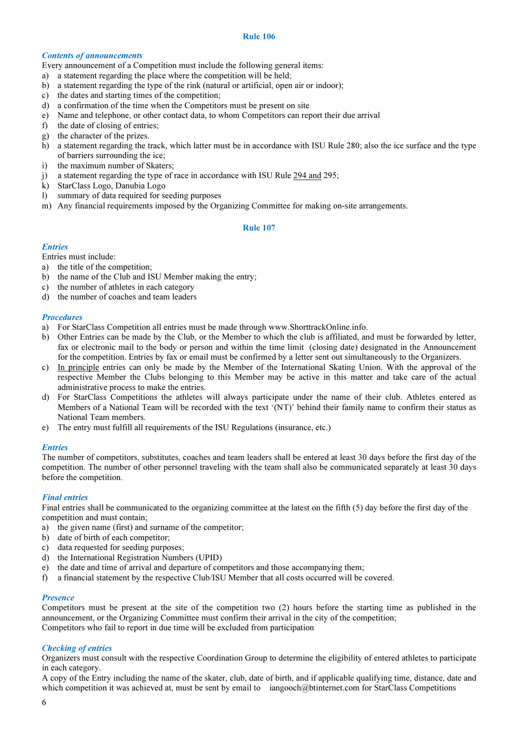#### Contents of announcements

Every announcement of a Competition must include the following general items:

- a) a statement regarding the place where the competition will be held;
- b) a statement regarding the type of the rink (natural or artificial, open air or indoor);
- c) the dates and starting times of the competition;
- d) a confirmation of the time when the Competitors must be present on site
- e) Name and telephone, or other contact data, to whom Competitors can report their due arrival
- f) the date of closing of entries;
- g) the character of the prizes.
- h) a statement regarding the track, which latter must be in accordance with ISU Rule 280; also the ice surface and the type of barriers surrounding the ice;
- i) the maximum number of Skaters;
- j) a statement regarding the type of race in accordance with ISU Rule 294 and 295;
- k) StarClass Logo, Danubia Logo
- l) summary of data required for seeding purposes
- m) Any financial requirements imposed by the Organizing Committee for making on-site arrangements.

# Rule 107

# **Entries**

Entries must include:

- a) the title of the competition;
- b) the name of the Club and ISU Member making the entry;
- c) the number of athletes in each category
- d) the number of coaches and team leaders

#### **Procedures**

- a) For StarClass Competition all entries must be made through www.ShorttrackOnline.info.
- b) Other Entries can be made by the Club, or the Member to which the club is affiliated, and must be forwarded by letter, fax or electronic mail to the body or person and within the time limit (closing date) designated in the Announcement for the competition. Entries by fax or email must be confirmed by a letter sent out simultaneously to the Organizers.
- c) In principle entries can only be made by the Member of the International Skating Union. With the approval of the respective Member the Clubs belonging to this Member may be active in this matter and take care of the actual administrative process to make the entries.
- d) For StarClass Competitions the athletes will always participate under the name of their club. Athletes entered as Members of a National Team will be recorded with the text '(NT)' behind their family name to confirm their status as National Team members.
- e) The entry must fulfill all requirements of the ISU Regulations (insurance, etc.)

#### **Entries**

The number of competitors, substitutes, coaches and team leaders shall be entered at least 30 days before the first day of the competition. The number of other personnel traveling with the team shall also be communicated separately at least 30 days before the competition.

# Final entries

Final entries shall be communicated to the organizing committee at the latest on the fifth (5) day before the first day of the competition and must contain;

- a) the given name (first) and surname of the competitor;
- b) date of birth of each competitor;
- c) data requested for seeding purposes;
- d) the International Registration Numbers (UPID)
- e) the date and time of arrival and departure of competitors and those accompanying them;
- f) a financial statement by the respective Club/ISU Member that all costs occurred will be covered.

#### **Presence**

Competitors must be present at the site of the competition two (2) hours before the starting time as published in the announcement, or the Organizing Committee must confirm their arrival in the city of the competition; Competitors who fail to report in due time will be excluded from participation

# Checking of entries

Organizers must consult with the respective Coordination Group to determine the eligibility of entered athletes to participate in each category.

A copy of the Entry including the name of the skater, club, date of birth, and if applicable qualifying time, distance, date and which competition it was achieved at, must be sent by email to iangooch@btinternet.com for StarClass Competitions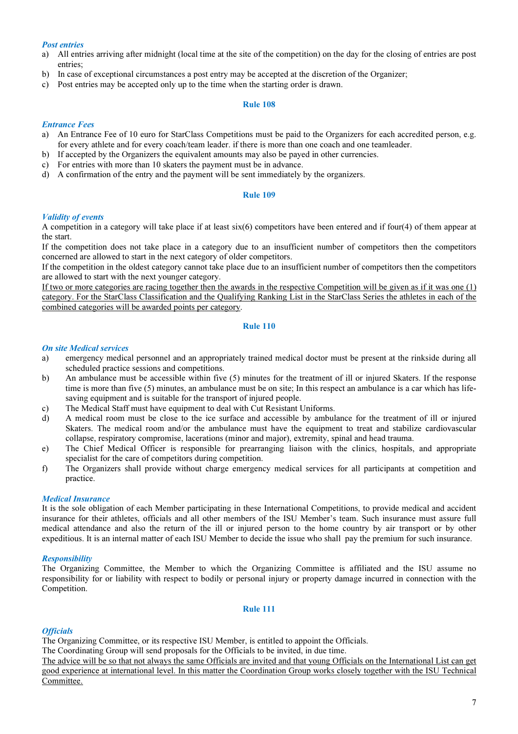# Post entries

- a) All entries arriving after midnight (local time at the site of the competition) on the day for the closing of entries are post entries;
- b) In case of exceptional circumstances a post entry may be accepted at the discretion of the Organizer;
- c) Post entries may be accepted only up to the time when the starting order is drawn.

#### Rule 108

# Entrance Fees

- a) An Entrance Fee of 10 euro for StarClass Competitions must be paid to the Organizers for each accredited person, e.g. for every athlete and for every coach/team leader. if there is more than one coach and one teamleader.
- b) If accepted by the Organizers the equivalent amounts may also be payed in other currencies.
- c) For entries with more than 10 skaters the payment must be in advance.
- d) A confirmation of the entry and the payment will be sent immediately by the organizers.

#### Rule 109

# Validity of events

A competition in a category will take place if at least  $six(6)$  competitors have been entered and if four(4) of them appear at the start.

If the competition does not take place in a category due to an insufficient number of competitors then the competitors concerned are allowed to start in the next category of older competitors.

If the competition in the oldest category cannot take place due to an insufficient number of competitors then the competitors are allowed to start with the next younger category.

If two or more categories are racing together then the awards in the respective Competition will be given as if it was one (1) category. For the StarClass Classification and the Qualifying Ranking List in the StarClass Series the athletes in each of the combined categories will be awarded points per category.

#### Rule 110

#### On site Medical services

- a) emergency medical personnel and an appropriately trained medical doctor must be present at the rinkside during all scheduled practice sessions and competitions.
- b) An ambulance must be accessible within five (5) minutes for the treatment of ill or injured Skaters. If the response time is more than five (5) minutes, an ambulance must be on site; In this respect an ambulance is a car which has lifesaving equipment and is suitable for the transport of injured people.
- c) The Medical Staff must have equipment to deal with Cut Resistant Uniforms.
- d) A medical room must be close to the ice surface and accessible by ambulance for the treatment of ill or injured Skaters. The medical room and/or the ambulance must have the equipment to treat and stabilize cardiovascular collapse, respiratory compromise, lacerations (minor and major), extremity, spinal and head trauma.
- e) The Chief Medical Officer is responsible for prearranging liaison with the clinics, hospitals, and appropriate specialist for the care of competitors during competition.
- f) The Organizers shall provide without charge emergency medical services for all participants at competition and practice.

# Medical Insurance

It is the sole obligation of each Member participating in these International Competitions, to provide medical and accident insurance for their athletes, officials and all other members of the ISU Member's team. Such insurance must assure full medical attendance and also the return of the ill or injured person to the home country by air transport or by other expeditious. It is an internal matter of each ISU Member to decide the issue who shall pay the premium for such insurance.

# Responsibility

The Organizing Committee, the Member to which the Organizing Committee is affiliated and the ISU assume no responsibility for or liability with respect to bodily or personal injury or property damage incurred in connection with the Competition.

#### Rule 111

# **Officials**

The Organizing Committee, or its respective ISU Member, is entitled to appoint the Officials.

The Coordinating Group will send proposals for the Officials to be invited, in due time.

The advice will be so that not always the same Officials are invited and that young Officials on the International List can get good experience at international level. In this matter the Coordination Group works closely together with the ISU Technical Committee.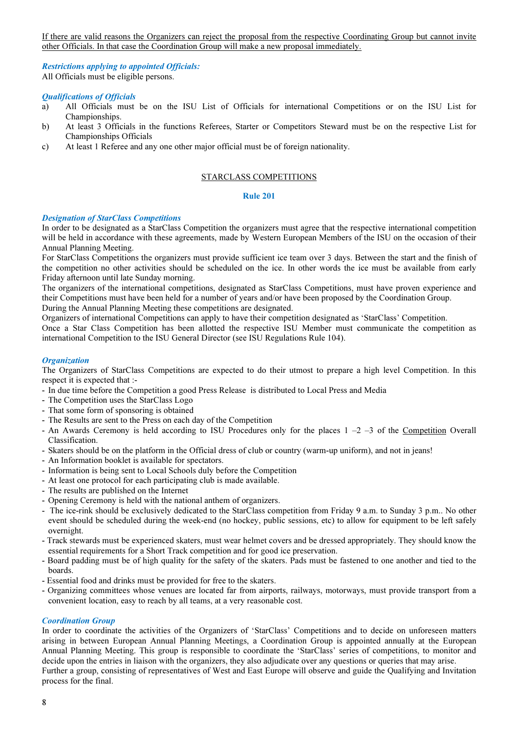If there are valid reasons the Organizers can reject the proposal from the respective Coordinating Group but cannot invite other Officials. In that case the Coordination Group will make a new proposal immediately.

Restrictions applying to appointed Officials: All Officials must be eligible persons.

# Qualifications of Officials

- a) All Officials must be on the ISU List of Officials for international Competitions or on the ISU List for Championships.
- b) At least 3 Officials in the functions Referees, Starter or Competitors Steward must be on the respective List for Championships Officials
- c) At least 1 Referee and any one other major official must be of foreign nationality.

#### STARCLASS COMPETITIONS

#### Rule 201

#### Designation of StarClass Competitions

In order to be designated as a StarClass Competition the organizers must agree that the respective international competition will be held in accordance with these agreements, made by Western European Members of the ISU on the occasion of their Annual Planning Meeting.

For StarClass Competitions the organizers must provide sufficient ice team over 3 days. Between the start and the finish of the competition no other activities should be scheduled on the ice. In other words the ice must be available from early Friday afternoon until late Sunday morning.

The organizers of the international competitions, designated as StarClass Competitions, must have proven experience and their Competitions must have been held for a number of years and/or have been proposed by the Coordination Group.

During the Annual Planning Meeting these competitions are designated.

Organizers of international Competitions can apply to have their competition designated as 'StarClass' Competition.

Once a Star Class Competition has been allotted the respective ISU Member must communicate the competition as international Competition to the ISU General Director (see ISU Regulations Rule 104).

# **Organization**

The Organizers of StarClass Competitions are expected to do their utmost to prepare a high level Competition. In this respect it is expected that :-

- In due time before the Competition a good Press Release is distributed to Local Press and Media
- The Competition uses the StarClass Logo
- That some form of sponsoring is obtained
- The Results are sent to the Press on each day of the Competition
- An Awards Ceremony is held according to ISU Procedures only for the places  $1 2 3$  of the Competition Overall Classification.
- Skaters should be on the platform in the Official dress of club or country (warm-up uniform), and not in jeans!
- An Information booklet is available for spectators.
- Information is being sent to Local Schools duly before the Competition
- At least one protocol for each participating club is made available.
- The results are published on the Internet
- Opening Ceremony is held with the national anthem of organizers.
- The ice-rink should be exclusively dedicated to the StarClass competition from Friday 9 a.m. to Sunday 3 p.m.. No other event should be scheduled during the week-end (no hockey, public sessions, etc) to allow for equipment to be left safely overnight.
- Track stewards must be experienced skaters, must wear helmet covers and be dressed appropriately. They should know the essential requirements for a Short Track competition and for good ice preservation.
- Board padding must be of high quality for the safety of the skaters. Pads must be fastened to one another and tied to the boards.
- Essential food and drinks must be provided for free to the skaters.
- Organizing committees whose venues are located far from airports, railways, motorways, must provide transport from a convenient location, easy to reach by all teams, at a very reasonable cost.

#### Coordination Group

In order to coordinate the activities of the Organizers of 'StarClass' Competitions and to decide on unforeseen matters arising in between European Annual Planning Meetings, a Coordination Group is appointed annually at the European Annual Planning Meeting. This group is responsible to coordinate the 'StarClass' series of competitions, to monitor and decide upon the entries in liaison with the organizers, they also adjudicate over any questions or queries that may arise. Further a group, consisting of representatives of West and East Europe will observe and guide the Qualifying and Invitation process for the final.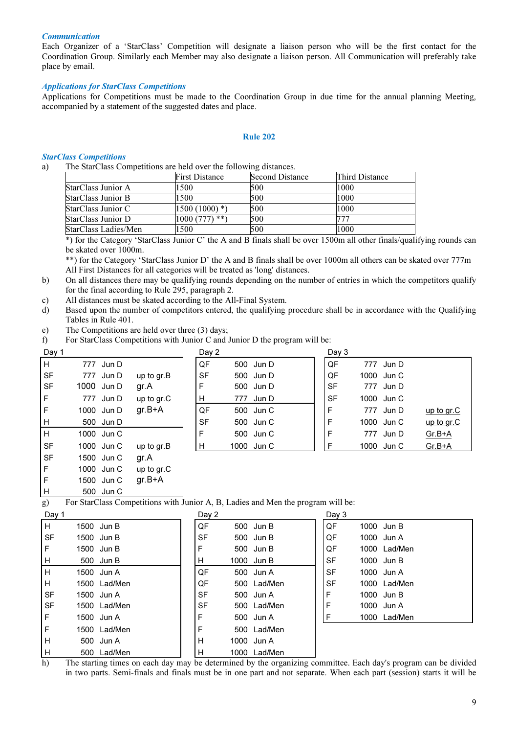#### **Communication**

Each Organizer of a 'StarClass' Competition will designate a liaison person who will be the first contact for the Coordination Group. Similarly each Member may also designate a liaison person. All Communication will preferably take place by email.

#### Applications for StarClass Competitions

Applications for Competitions must be made to the Coordination Group in due time for the annual planning Meeting, accompanied by a statement of the suggested dates and place.

#### Rule 202

# StarClass Competitions

a) The StarClass Competitions are held over the following distances.

|                           | <b>First Distance</b>       | <b>Second Distance</b> | Third Distance |
|---------------------------|-----------------------------|------------------------|----------------|
| StarClass Junior A        | 1500                        | 500                    | 1000           |
| <b>StarClass Junior B</b> | 1500                        | 500                    | 1000           |
| StarClass Junior C        | $1500(1000)$ <sup>*</sup> ) | 500                    | 1000           |
| StarClass Junior D        | 1000(777)<br>$***$ )        | 500                    | 777            |
| StarClass Ladies/Men      | 1500                        | 500                    | 1000           |

\*) for the Category 'StarClass Junior C' the A and B finals shall be over 1500m all other finals/qualifying rounds can be skated over 1000m.

\*\*) for the Category 'StarClass Junior D' the A and B finals shall be over 1000m all others can be skated over 777m All First Distances for all categories will be treated as 'long' distances.

- b) On all distances there may be qualifying rounds depending on the number of entries in which the competitors qualify for the final according to Rule 295, paragraph 2.
- c) All distances must be skated according to the All-Final System.
- d) Based upon the number of competitors entered, the qualifying procedure shall be in accordance with the Qualifying Tables in Rule 401.
- e) The Competitions are held over three (3) days;

F 1000 Jun C up to gr.C F 1500 Jun C gr.B+A 500 Jun C

f) For StarClass Competitions with Junior C and Junior D the program will be:

| Day 1     |     |            |              |           | Day 2 |            | Day 3        |            |            |
|-----------|-----|------------|--------------|-----------|-------|------------|--------------|------------|------------|
| Iн.       | 777 | Jun D      |              | QF        |       | 500 Jun D  | QF           | 777 Jun D  |            |
| <b>SF</b> |     | 777 Jun D  | up to $gr.B$ | <b>SF</b> |       | 500 Jun D  | QF           | 1000 Jun C |            |
| <b>SF</b> |     | 1000 Jun D | gr.A         | E         |       | 500 Jun D  | <b>SF</b>    | 777 Jun D  |            |
| IF.       |     | 777 Jun D  | up to gr.C   | H         |       | 777 Jun D  | <b>SF</b>    | 1000 Jun C |            |
| l F       |     | 1000 Jun D | $gr.B+A$     | QF        |       | 500 Jun C  | $\mathsf{F}$ | 777 Jun D  | up to gr.C |
| H.        |     | 500 Jun D  |              | <b>SF</b> |       | 500 Jun C  | F            | 1000 Jun C | up to gr.C |
| Iн        |     | 1000 Jun C |              | E         |       | 500 Jun C  | F            | 777 Jun D  | $Gr.B+A$   |
| <b>SF</b> |     | 1000 Jun C | up to $gr.B$ | H         |       | 1000 Jun C | E            | 1000 Jun C | $Gr.B+A$   |
| <b>SF</b> |     | 1500 Jun C | gr.A         |           |       |            |              |            |            |

For StarClass Competitions with Junior A, B, Ladies and Men the program will be:

| Day 1     |              | Day 2     |      |             | Day 3       |              |
|-----------|--------------|-----------|------|-------------|-------------|--------------|
| H.        | 1500 Jun B   | QF        |      | 500 Jun B   | QF          | 1000 Jun B   |
| <b>SF</b> | 1500 Jun B   | <b>SF</b> |      | 500 Jun B   | QF          | 1000 Jun A   |
| F         | 1500 Jun B   | F         |      | 500 Jun B   | QF          | 1000 Lad/Men |
| н         | 500 Jun B    | H         |      | 1000 Jun B  | <b>SF</b>   | 1000 Jun B   |
| H         | 1500 Jun A   | QF        |      | 500 Jun A   | <b>SF</b>   | 1000 Jun A   |
| н         | 1500 Lad/Men | QF        |      | 500 Lad/Men | <b>SF</b>   | 1000 Lad/Men |
| <b>SF</b> | 1500 Jun A   | <b>SF</b> |      | 500 Jun A   | $\mathsf F$ | 1000 Jun B   |
| <b>SF</b> | 1500 Lad/Men | <b>SF</b> |      | 500 Lad/Men | F           | 1000 Jun A   |
| F         | 1500 Jun A   | F         |      | 500 Jun A   | F           | 1000 Lad/Men |
| F         | 1500 Lad/Men | F         |      | 500 Lad/Men |             |              |
| н         | 500 Jun A    | н         |      | 1000 Jun A  |             |              |
| н         | 500 Lad/Men  | н         | 1000 | Lad/Men     |             |              |

h) The starting times on each day may be determined by the organizing committee. Each day's program can be divided in two parts. Semi-finals and finals must be in one part and not separate. When each part (session) starts it will be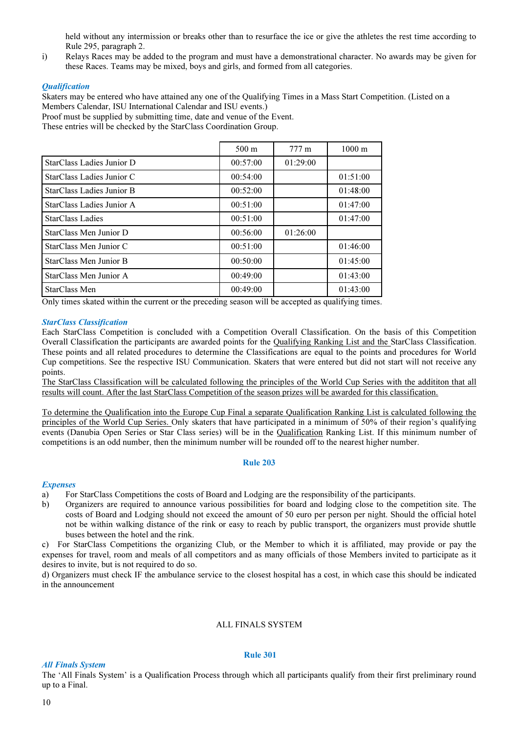held without any intermission or breaks other than to resurface the ice or give the athletes the rest time according to Rule 295, paragraph 2.

i) Relays Races may be added to the program and must have a demonstrational character. No awards may be given for these Races. Teams may be mixed, boys and girls, and formed from all categories.

#### **Qualification**

Skaters may be entered who have attained any one of the Qualifying Times in a Mass Start Competition. (Listed on a Members Calendar, ISU International Calendar and ISU events.)

Proof must be supplied by submitting time, date and venue of the Event.

These entries will be checked by the StarClass Coordination Group.

|                           | $500 \text{ m}$ | $777 \text{ m}$ | $1000 \text{ m}$ |
|---------------------------|-----------------|-----------------|------------------|
| StarClass Ladies Junior D | 00:57:00        | 01:29:00        |                  |
| StarClass Ladies Junior C | 00:54:00        |                 | 01:51:00         |
| StarClass Ladies Junior B | 00:52:00        |                 | 01:48:00         |
| StarClass Ladies Junior A | 00:51:00        |                 | 01:47:00         |
| <b>StarClass Ladies</b>   | 00:51:00        |                 | 01:47:00         |
| StarClass Men Junior D    | 00:56:00        | 01:26:00        |                  |
| StarClass Men Junior C    | 00:51:00        |                 | 01:46:00         |
| StarClass Men Junior B    | 00:50:00        |                 | 01:45:00         |
| StarClass Men Junior A    | 00:49:00        |                 | 01:43:00         |
| StarClass Men             | 00:49:00        |                 | 01:43:00         |

Only times skated within the current or the preceding season will be accepted as qualifying times.

#### StarClass Classification

Each StarClass Competition is concluded with a Competition Overall Classification. On the basis of this Competition Overall Classification the participants are awarded points for the Qualifying Ranking List and the StarClass Classification. These points and all related procedures to determine the Classifications are equal to the points and procedures for World Cup competitions. See the respective ISU Communication. Skaters that were entered but did not start will not receive any points.

The StarClass Classification will be calculated following the principles of the World Cup Series with the addititon that all results will count. After the last StarClass Competition of the season prizes will be awarded for this classification.

To determine the Qualification into the Europe Cup Final a separate Qualification Ranking List is calculated following the principles of the World Cup Series. Only skaters that have participated in a minimum of 50% of their region's qualifying events (Danubia Open Series or Star Class series) will be in the Qualification Ranking List. If this minimum number of competitions is an odd number, then the minimum number will be rounded off to the nearest higher number.

#### Rule 203

#### **Expenses**

a) For StarClass Competitions the costs of Board and Lodging are the responsibility of the participants.

b) Organizers are required to announce various possibilities for board and lodging close to the competition site. The costs of Board and Lodging should not exceed the amount of 50 euro per person per night. Should the official hotel not be within walking distance of the rink or easy to reach by public transport, the organizers must provide shuttle buses between the hotel and the rink.

c) For StarClass Competitions the organizing Club, or the Member to which it is affiliated, may provide or pay the expenses for travel, room and meals of all competitors and as many officials of those Members invited to participate as it desires to invite, but is not required to do so.

d) Organizers must check IF the ambulance service to the closest hospital has a cost, in which case this should be indicated in the announcement

#### ALL FINALS SYSTEM

#### Rule 301

All Finals System

The 'All Finals System' is a Qualification Process through which all participants qualify from their first preliminary round up to a Final.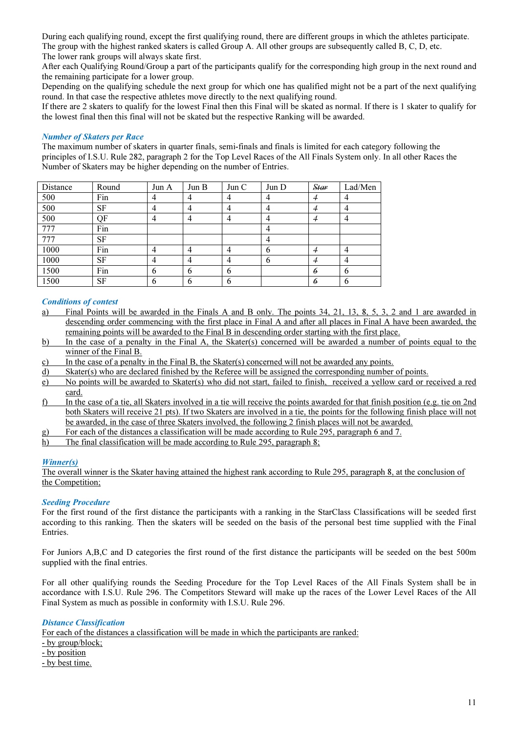During each qualifying round, except the first qualifying round, there are different groups in which the athletes participate. The group with the highest ranked skaters is called Group A. All other groups are subsequently called B, C, D, etc.

The lower rank groups will always skate first.

After each Qualifying Round/Group a part of the participants qualify for the corresponding high group in the next round and the remaining participate for a lower group.

Depending on the qualifying schedule the next group for which one has qualified might not be a part of the next qualifying round. In that case the respective athletes move directly to the next qualifying round.

If there are 2 skaters to qualify for the lowest Final then this Final will be skated as normal. If there is 1 skater to qualify for the lowest final then this final will not be skated but the respective Ranking will be awarded.

# Number of Skaters per Race

The maximum number of skaters in quarter finals, semi-finals and finals is limited for each category following the principles of I.S.U. Rule 282, paragraph 2 for the Top Level Races of the All Finals System only. In all other Races the Number of Skaters may be higher depending on the number of Entries.

| Distance | Round     | Jun A | Jun B | Jun C | Jun D | Star | Lad/Men        |
|----------|-----------|-------|-------|-------|-------|------|----------------|
| 500      | Fin       | 4     |       | 4     | 4     |      |                |
| 500      | <b>SF</b> | 4     | 4     | 4     | 4     | 4    | $\overline{4}$ |
| 500      | QF        | 4     |       | 4     | 4     | 4    | 4              |
| 777      | Fin       |       |       |       | 4     |      |                |
| 777      | SF        |       |       |       | 4     |      |                |
| 1000     | Fin       |       |       | 4     | 6     | 4    | 4              |
| 1000     | SF        | 4     |       | 4     | 6     | 4    | $\overline{4}$ |
| 1500     | Fin       | 6     | -6    | 6     |       | 6    | 6              |
| 1500     | SF        | 6     | 6     | 6     |       | 6    | 6              |

# Conditions of contest

- a) Final Points will be awarded in the Finals A and B only. The points 34, 21, 13, 8, 5, 3, 2 and 1 are awarded in descending order commencing with the first place in Final A and after all places in Final A have been awarded, the remaining points will be awarded to the Final B in descending order starting with the first place.
- b) In the case of a penalty in the Final A, the Skater(s) concerned will be awarded a number of points equal to the winner of the Final B.
- c) In the case of a penalty in the Final B, the Skater(s) concerned will not be awarded any points.
- d) Skater(s) who are declared finished by the Referee will be assigned the corresponding number of points.
- e) No points will be awarded to Skater(s) who did not start, failed to finish, received a yellow card or received a red card.
- f) In the case of a tie, all Skaters involved in a tie will receive the points awarded for that finish position (e.g. tie on 2nd both Skaters will receive 21 pts). If two Skaters are involved in a tie, the points for the following finish place will not be awarded, in the case of three Skaters involved, the following 2 finish places will not be awarded.
- g) For each of the distances a classification will be made according to Rule 295, paragraph 6 and 7.
- h) The final classification will be made according to Rule 295, paragraph 8;

# Winner(s)

The overall winner is the Skater having attained the highest rank according to Rule 295, paragraph 8, at the conclusion of the Competition;

# Seeding Procedure

For the first round of the first distance the participants with a ranking in the StarClass Classifications will be seeded first according to this ranking. Then the skaters will be seeded on the basis of the personal best time supplied with the Final Entries.

For Juniors A,B,C and D categories the first round of the first distance the participants will be seeded on the best 500m supplied with the final entries.

For all other qualifying rounds the Seeding Procedure for the Top Level Races of the All Finals System shall be in accordance with I.S.U. Rule 296. The Competitors Steward will make up the races of the Lower Level Races of the All Final System as much as possible in conformity with I.S.U. Rule 296.

# Distance Classification

For each of the distances a classification will be made in which the participants are ranked: - by group/block; - by position - by best time.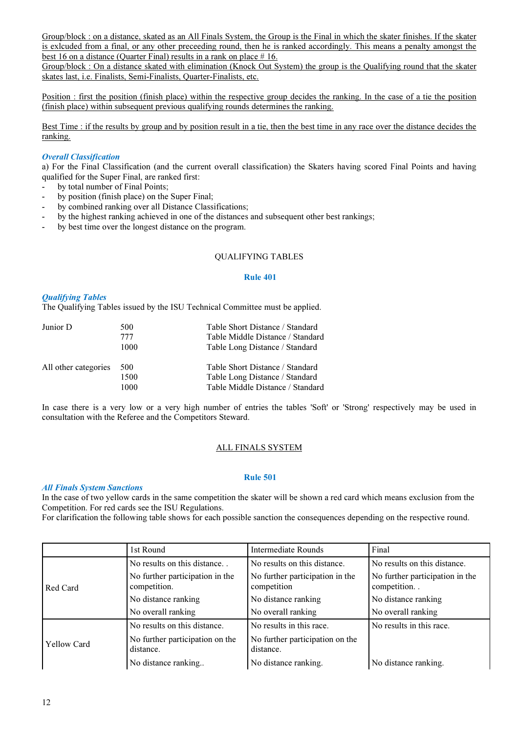Group/block : on a distance, skated as an All Finals System, the Group is the Final in which the skater finishes. If the skater is exlcuded from a final, or any other preceeding round, then he is ranked accordingly. This means a penalty amongst the best 16 on a distance (Quarter Final) results in a rank on place  $# 16$ .

Group/block : On a distance skated with elimination (Knock Out System) the group is the Qualifying round that the skater skates last, i.e. Finalists, Semi-Finalists, Quarter-Finalists, etc.

Position : first the position (finish place) within the respective group decides the ranking. In the case of a tie the position (finish place) within subsequent previous qualifying rounds determines the ranking.

Best Time : if the results by group and by position result in a tie, then the best time in any race over the distance decides the ranking.

# Overall Classification

a) For the Final Classification (and the current overall classification) the Skaters having scored Final Points and having qualified for the Super Final, are ranked first:

- by total number of Final Points;
- by position (finish place) on the Super Final;
- by combined ranking over all Distance Classifications;
- by the highest ranking achieved in one of the distances and subsequent other best rankings;
- by best time over the longest distance on the program.

# QUALIFYING TABLES

#### Rule 401

# Qualifying Tables

The Qualifying Tables issued by the ISU Technical Committee must be applied.

| Junior D             | 500<br>777<br>1000  | Table Short Distance / Standard<br>Table Middle Distance / Standard<br>Table Long Distance / Standard |
|----------------------|---------------------|-------------------------------------------------------------------------------------------------------|
| All other categories | 500<br>1500<br>1000 | Table Short Distance / Standard<br>Table Long Distance / Standard<br>Table Middle Distance / Standard |

In case there is a very low or a very high number of entries the tables 'Soft' or 'Strong' respectively may be used in consultation with the Referee and the Competitors Steward.

# ALL FINALS SYSTEM

#### Rule 501

#### All Finals System Sanctions

In the case of two yellow cards in the same competition the skater will be shown a red card which means exclusion from the Competition. For red cards see the ISU Regulations.

For clarification the following table shows for each possible sanction the consequences depending on the respective round.

|                    | 1st Round                                       | <b>Intermediate Rounds</b>                     | Final                                          |
|--------------------|-------------------------------------------------|------------------------------------------------|------------------------------------------------|
|                    | No results on this distance                     | No results on this distance.                   | No results on this distance.                   |
| Red Card           | No further participation in the<br>competition. | No further participation in the<br>competition | No further participation in the<br>competition |
|                    | No distance ranking                             | No distance ranking                            | No distance ranking                            |
|                    | No overall ranking                              | No overall ranking                             | No overall ranking                             |
|                    | No results on this distance.                    | No results in this race.                       | No results in this race.                       |
| <b>Yellow Card</b> | No further participation on the<br>distance.    | No further participation on the<br>distance.   |                                                |
|                    | No distance ranking                             | No distance ranking.                           | No distance ranking.                           |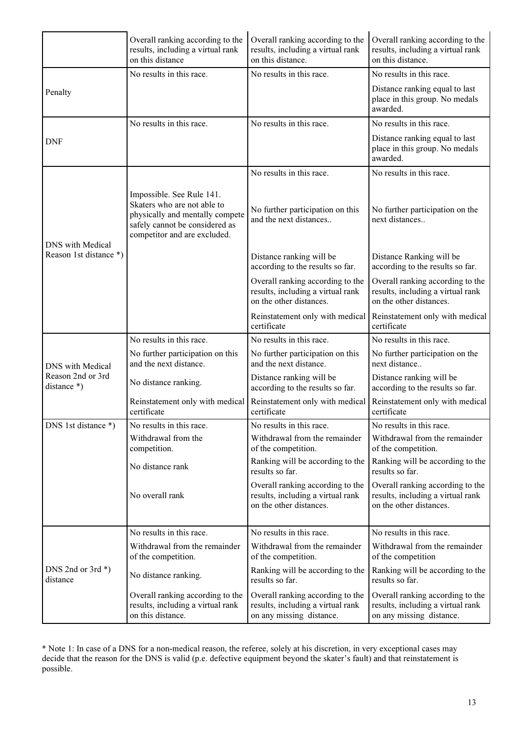|                                    | Overall ranking according to the<br>results, including a virtual rank<br>on this distance                                                                     | Overall ranking according to the<br>results, including a virtual rank<br>on this distance.        | Overall ranking according to the<br>results, including a virtual rank<br>on this distance.        |
|------------------------------------|---------------------------------------------------------------------------------------------------------------------------------------------------------------|---------------------------------------------------------------------------------------------------|---------------------------------------------------------------------------------------------------|
|                                    | No results in this race.                                                                                                                                      | No results in this race.                                                                          | No results in this race.                                                                          |
| Penalty                            |                                                                                                                                                               |                                                                                                   | Distance ranking equal to last<br>place in this group. No medals<br>awarded.                      |
|                                    | No results in this race.                                                                                                                                      | No results in this race.                                                                          | No results in this race.                                                                          |
| <b>DNF</b>                         |                                                                                                                                                               |                                                                                                   | Distance ranking equal to last<br>place in this group. No medals<br>awarded.                      |
|                                    |                                                                                                                                                               | No results in this race.                                                                          | No results in this race.                                                                          |
| <b>DNS</b> with Medical            | Impossible. See Rule 141.<br>Skaters who are not able to<br>physically and mentally compete<br>safely cannot be considered as<br>competitor and are excluded. | No further participation on this<br>and the next distances                                        | No further participation on the<br>next distances                                                 |
| Reason 1st distance *)             |                                                                                                                                                               | Distance ranking will be<br>according to the results so far.                                      | Distance Ranking will be<br>according to the results so far.                                      |
|                                    |                                                                                                                                                               | Overall ranking according to the<br>results, including a virtual rank<br>on the other distances.  | Overall ranking according to the<br>results, including a virtual rank<br>on the other distances.  |
|                                    |                                                                                                                                                               | Reinstatement only with medical<br>certificate                                                    | Reinstatement only with medical<br>certificate                                                    |
|                                    | No results in this race.                                                                                                                                      | No results in this race.                                                                          | No results in this race.                                                                          |
| <b>DNS</b> with Medical            | No further participation on this<br>and the next distance.                                                                                                    | No further participation on this<br>and the next distance.                                        | No further participation on the<br>next distance                                                  |
| Reason 2nd or 3rd<br>distance $*)$ | No distance ranking.                                                                                                                                          | Distance ranking will be<br>according to the results so far.                                      | Distance ranking will be<br>according to the results so far.                                      |
|                                    | Reinstatement only with medical<br>certificate                                                                                                                | Reinstatement only with medical<br>certificate                                                    | Reinstatement only with medical<br>certificate                                                    |
| DNS 1st distance *)                | No results in this race.                                                                                                                                      | No results in this race.                                                                          | No results in this race.                                                                          |
|                                    | Withdrawal from the<br>competition.                                                                                                                           | Withdrawal from the remainder<br>of the competition.                                              | Withdrawal from the remainder<br>of the competition.                                              |
|                                    | No distance rank                                                                                                                                              | Ranking will be according to the<br>results so far.                                               | Ranking will be according to the<br>results so far.                                               |
|                                    | No overall rank                                                                                                                                               | Overall ranking according to the<br>results, including a virtual rank<br>on the other distances.  | Overall ranking according to the<br>results, including a virtual rank<br>on the other distances.  |
|                                    | No results in this race.                                                                                                                                      | No results in this race.                                                                          | No results in this race.                                                                          |
|                                    | Withdrawal from the remainder<br>of the competition.                                                                                                          | Withdrawal from the remainder<br>of the competition.                                              | Withdrawal from the remainder<br>of the competition                                               |
| DNS 2nd or 3rd $*)$<br>distance    | No distance ranking.                                                                                                                                          | Ranking will be according to the<br>results so far.                                               | Ranking will be according to the<br>results so far.                                               |
|                                    | Overall ranking according to the<br>results, including a virtual rank<br>on this distance.                                                                    | Overall ranking according to the<br>results, including a virtual rank<br>on any missing distance. | Overall ranking according to the<br>results, including a virtual rank<br>on any missing distance. |

\* Note 1: In case of a DNS for a non-medical reason, the referee, solely at his discretion, in very exceptional cases may decide that the reason for the DNS is valid (p.e. defective equipment beyond the skater's fault) and that reinstatement is possible.